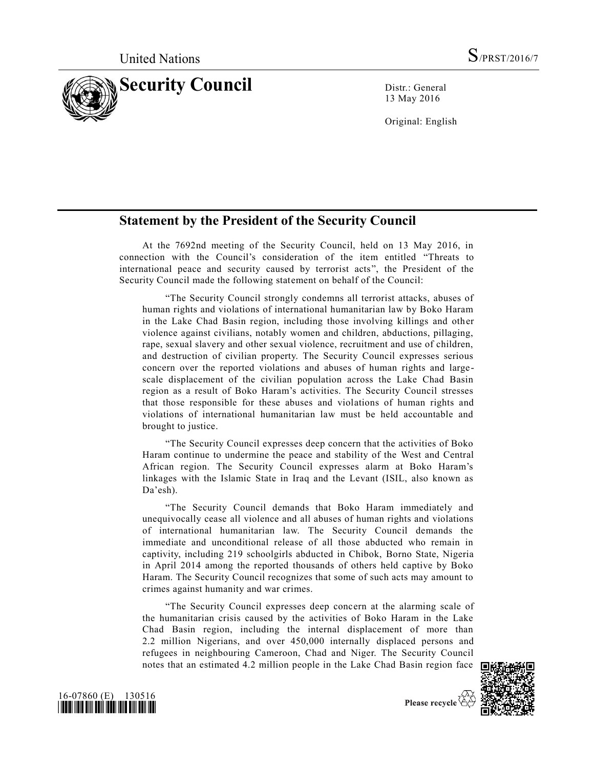

13 May 2016

Original: English

## **Statement by the President of the Security Council**

At the 7692nd meeting of the Security Council, held on 13 May 2016, in connection with the Council's consideration of the item entitled "Threats to international peace and security caused by terrorist acts", the President of the Security Council made the following statement on behalf of the Council:

"The Security Council strongly condemns all terrorist attacks, abuses of human rights and violations of international humanitarian law by Boko Haram in the Lake Chad Basin region, including those involving killings and other violence against civilians, notably women and children, abductions, pillaging, rape, sexual slavery and other sexual violence, recruitment and use of children, and destruction of civilian property. The Security Council expresses serious concern over the reported violations and abuses of human rights and largescale displacement of the civilian population across the Lake Chad Basin region as a result of Boko Haram's activities. The Security Council stresses that those responsible for these abuses and violations of human rights and violations of international humanitarian law must be held accountable and brought to justice.

"The Security Council expresses deep concern that the activities of Boko Haram continue to undermine the peace and stability of the West and Central African region. The Security Council expresses alarm at Boko Haram's linkages with the Islamic State in Iraq and the Levant (ISIL, also known as Da'esh).

"The Security Council demands that Boko Haram immediately and unequivocally cease all violence and all abuses of human rights and violations of international humanitarian law. The Security Council demands the immediate and unconditional release of all those abducted who remain in captivity, including 219 schoolgirls abducted in Chibok, Borno State, Nigeria in April 2014 among the reported thousands of others held captive by Boko Haram. The Security Council recognizes that some of such acts may amount to crimes against humanity and war crimes.

"The Security Council expresses deep concern at the alarming scale of the humanitarian crisis caused by the activities of Boko Haram in the Lake Chad Basin region, including the internal displacement of more than 2.2 million Nigerians, and over 450,000 internally displaced persons and refugees in neighbouring Cameroon, Chad and Niger. The Security Council notes that an estimated 4.2 million people in the Lake Chad Basin region face





Please recycle  $\overleftrightarrow{C}$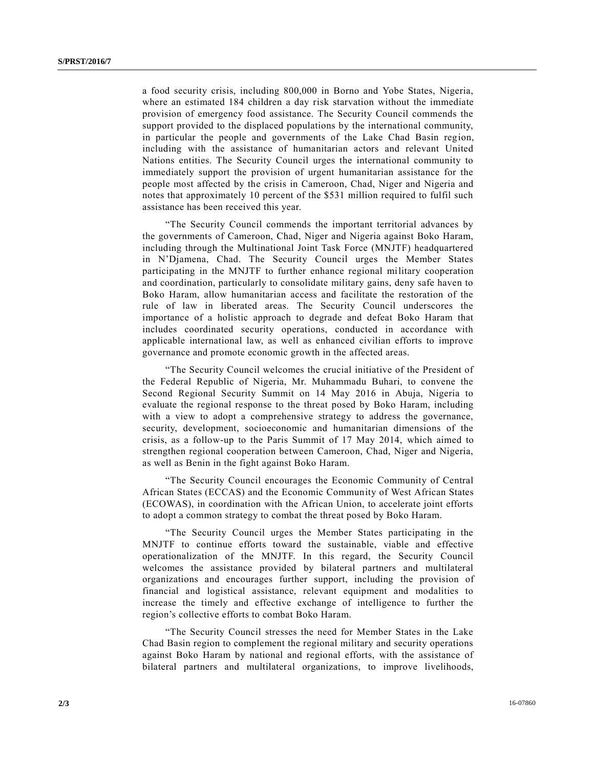a food security crisis, including 800,000 in Borno and Yobe States, Nigeria, where an estimated 184 children a day risk starvation without the immediate provision of emergency food assistance. The Security Council commends the support provided to the displaced populations by the international community, in particular the people and governments of the Lake Chad Basin region, including with the assistance of humanitarian actors and relevant United Nations entities. The Security Council urges the international community to immediately support the provision of urgent humanitarian assistance for the people most affected by the crisis in Cameroon, Chad, Niger and Nigeria and notes that approximately 10 percent of the \$531 million required to fulfil such assistance has been received this year.

"The Security Council commends the important territorial advances by the governments of Cameroon, Chad, Niger and Nigeria against Boko Haram, including through the Multinational Joint Task Force (MNJTF) headquartered in N'Djamena, Chad. The Security Council urges the Member States participating in the MNJTF to further enhance regional military cooperation and coordination, particularly to consolidate military gains, deny safe haven to Boko Haram, allow humanitarian access and facilitate the restoration of the rule of law in liberated areas. The Security Council underscores the importance of a holistic approach to degrade and defeat Boko Haram that includes coordinated security operations, conducted in accordance with applicable international law, as well as enhanced civilian efforts to improve governance and promote economic growth in the affected areas.

"The Security Council welcomes the crucial initiative of the President of the Federal Republic of Nigeria, Mr. Muhammadu Buhari, to convene the Second Regional Security Summit on 14 May 2016 in Abuja, Nigeria to evaluate the regional response to the threat posed by Boko Haram, including with a view to adopt a comprehensive strategy to address the governance, security, development, socioeconomic and humanitarian dimensions of the crisis, as a follow-up to the Paris Summit of 17 May 2014, which aimed to strengthen regional cooperation between Cameroon, Chad, Niger and Nigeria, as well as Benin in the fight against Boko Haram.

"The Security Council encourages the Economic Community of Central African States (ECCAS) and the Economic Community of West African States (ECOWAS), in coordination with the African Union, to accelerate joint efforts to adopt a common strategy to combat the threat posed by Boko Haram.

"The Security Council urges the Member States participating in the MNJTF to continue efforts toward the sustainable, viable and effective operationalization of the MNJTF. In this regard, the Security Council welcomes the assistance provided by bilateral partners and multilateral organizations and encourages further support, including the provision of financial and logistical assistance, relevant equipment and modalities to increase the timely and effective exchange of intelligence to further the region's collective efforts to combat Boko Haram.

"The Security Council stresses the need for Member States in the Lake Chad Basin region to complement the regional military and security operations against Boko Haram by national and regional efforts, with the assistance of bilateral partners and multilateral organizations, to improve livelihoods,